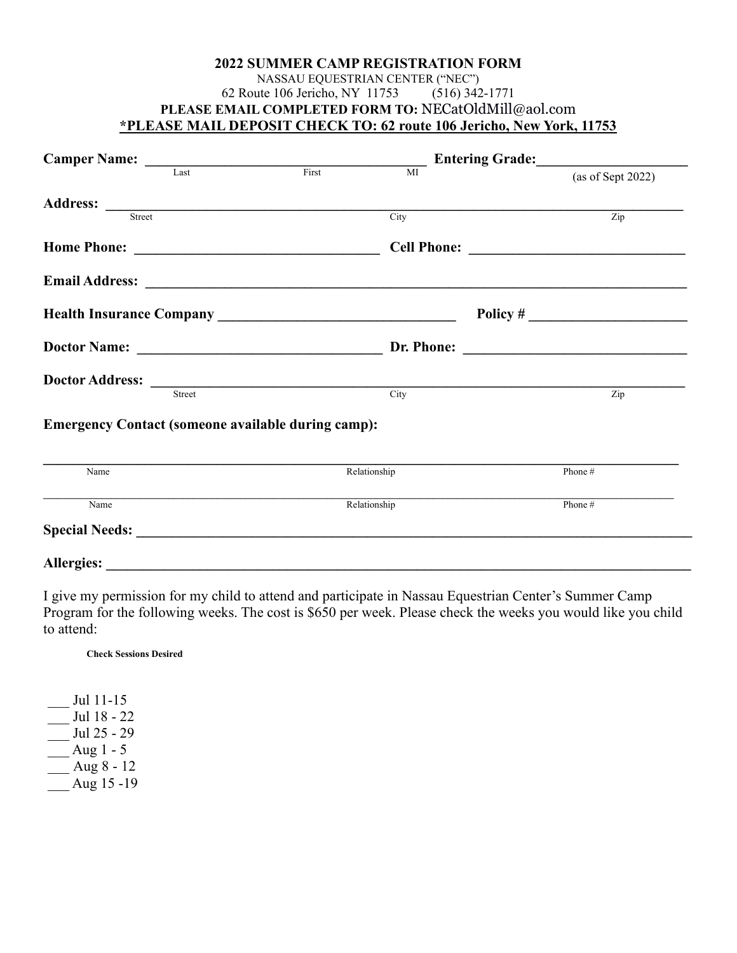## **2022 SUMMER CAMP REGISTRATION FORM** NASSAU EQUESTRIAN CENTER ("NEC")<br>ute 106 Jericho, NY 11753 (516) 342-1771 62 Route 106 Jericho, NY 11753 **PLEASE EMAIL COMPLETED FORM TO:** [NECatOldMill@aol.com](mailto:NECatOldMill@aol.com) **\*PLEASE MAIL DEPOSIT CHECK TO: 62 route 106 Jericho, New York, 11753**

| Last                                                      | First<br>$\overline{M}$ | (as of Sept 2022) |
|-----------------------------------------------------------|-------------------------|-------------------|
|                                                           |                         |                   |
| Street                                                    | City                    | Zip               |
|                                                           |                         |                   |
|                                                           |                         |                   |
|                                                           |                         |                   |
|                                                           |                         |                   |
| <b>Doctor Address:</b> <u>Street City</u>                 |                         |                   |
|                                                           |                         | Zip               |
| <b>Emergency Contact (someone available during camp):</b> |                         |                   |
| Name                                                      | Relationship            | Phone #           |
| Name                                                      | Relationship            | Phone #           |
|                                                           |                         |                   |
| <b>Allergies:</b>                                         |                         |                   |

I give my permission for my child to attend and participate in Nassau Equestrian Center's Summer Camp Program for the following weeks. The cost is \$650 per week. Please check the weeks you would like you child to attend:

**Check Sessions Desired**

\_\_\_ Jul 11-15 \_\_\_ Jul 18 - 22  $\frac{\text{Jul } 25 - 29}{\text{L}}$  $\overline{\phantom{a}}$  Aug 1 - 5 \_\_\_ Aug 8 - 12  $\overline{\phantom{0}}$ Aug 15 -19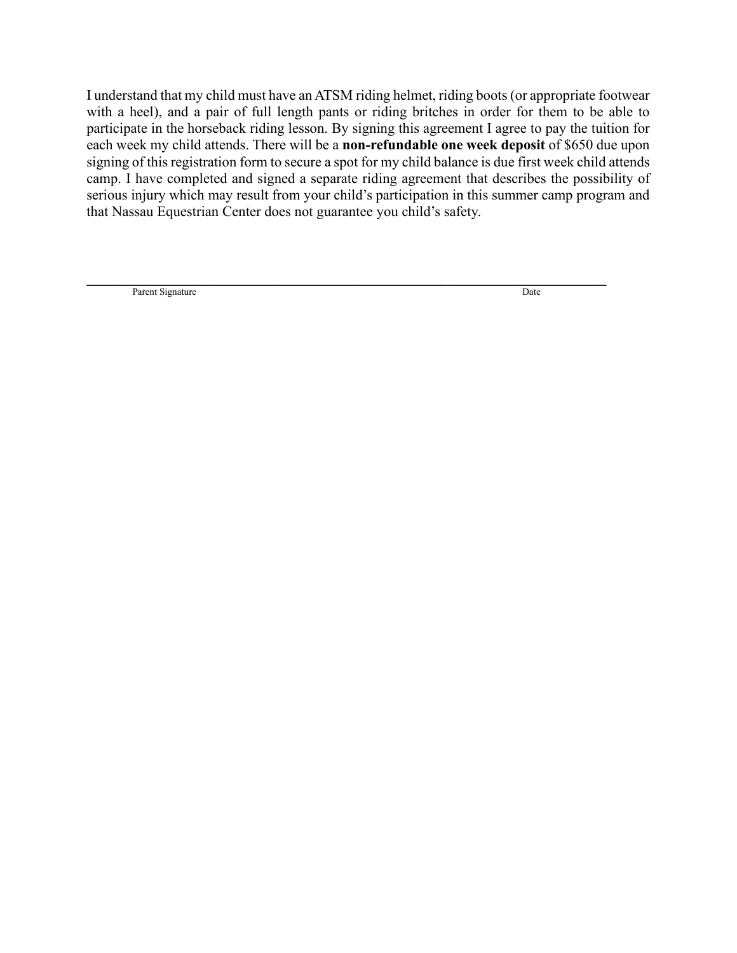I understand that my child must have an ATSM riding helmet, riding boots (or appropriate footwear with a heel), and a pair of full length pants or riding britches in order for them to be able to participate in the horseback riding lesson. By signing this agreement I agree to pay the tuition for each week my child attends. There will be a **non-refundable one week deposit** of \$650 due upon signing of this registration form to secure a spot for my child balance is due first week child attends camp. I have completed and signed a separate riding agreement that describes the possibility of serious injury which may result from your child's participation in this summer camp program and that Nassau Equestrian Center does not guarantee you child's safety.

**\_\_\_\_\_\_\_\_\_\_\_\_\_\_\_\_\_\_\_\_\_\_\_\_\_\_\_\_\_\_\_\_\_\_\_\_\_\_\_\_\_\_\_\_\_\_\_\_\_\_\_\_\_\_\_\_\_\_\_\_\_\_\_\_\_\_\_\_\_\_\_\_** Parent Signature Date and Separate Separate Separate Separate Separate Separate Separate Separate Separate Separate Separate Separate Separate Separate Separate Separate Separate Separate Separate Separate Separate Separat